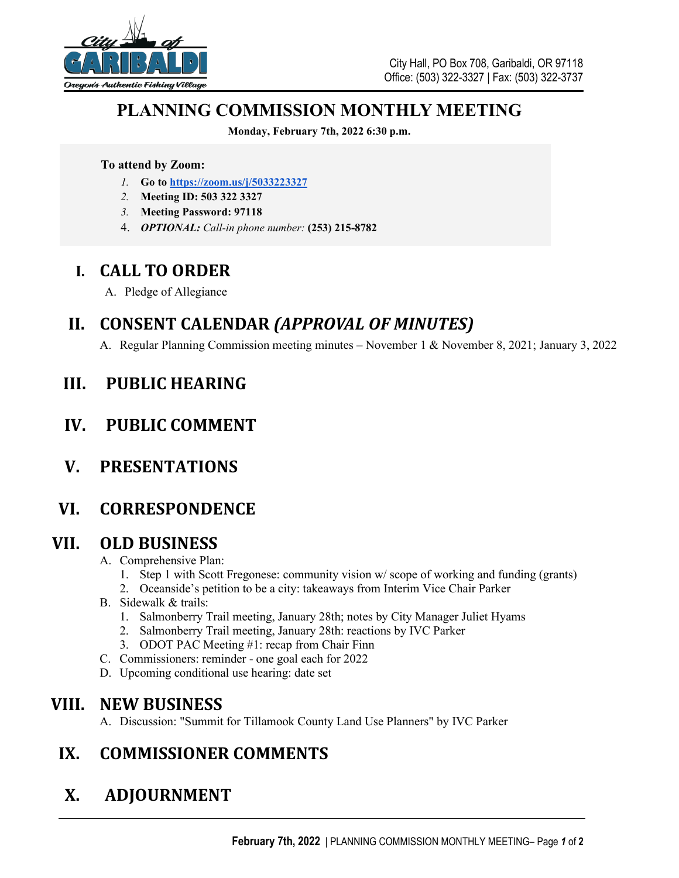

## **PLANNING COMMISSION MONTHLY MEETING**

**Monday, February 7th, 2022 6:30 p.m.**

#### **To attend by Zoom:**

- *1.* **Go to <https://zoom.us/j/5033223327>**
- *2.* **Meeting ID: 503 322 3327**
- *3.* **Meeting Password: 97118**
- 4. *OPTIONAL: Call-in phone number:* **(253) 215-8782**

## **I. CALL TO ORDER**

A. Pledge of Allegiance

## **II. CONSENT CALENDAR** *(APPROVAL OF MINUTES)*

A. Regular Planning Commission meeting minutes – November 1 & November 8, 2021; January 3, 2022

## **III. PUBLIC HEARING**

## **IV. PUBLIC COMMENT**

**V. PRESENTATIONS**

## **VI. CORRESPONDENCE**

#### **VII. OLD BUSINESS**

- A. Comprehensive Plan:
	- 1. Step 1 with Scott Fregonese: community vision w/ scope of working and funding (grants)
	- 2. Oceanside's petition to be a city: takeaways from Interim Vice Chair Parker
- B. Sidewalk & trails:
	- 1. Salmonberry Trail meeting, January 28th; notes by City Manager Juliet Hyams
	- 2. Salmonberry Trail meeting, January 28th: reactions by IVC Parker
	- 3. ODOT PAC Meeting #1: recap from Chair Finn
- C. Commissioners: reminder one goal each for 2022
- D. Upcoming conditional use hearing: date set

## **VIII. NEW BUSINESS**

A. Discussion: "Summit for Tillamook County Land Use Planners" by IVC Parker

## **IX. COMMISSIONER COMMENTS**

# **X. ADJOURNMENT**